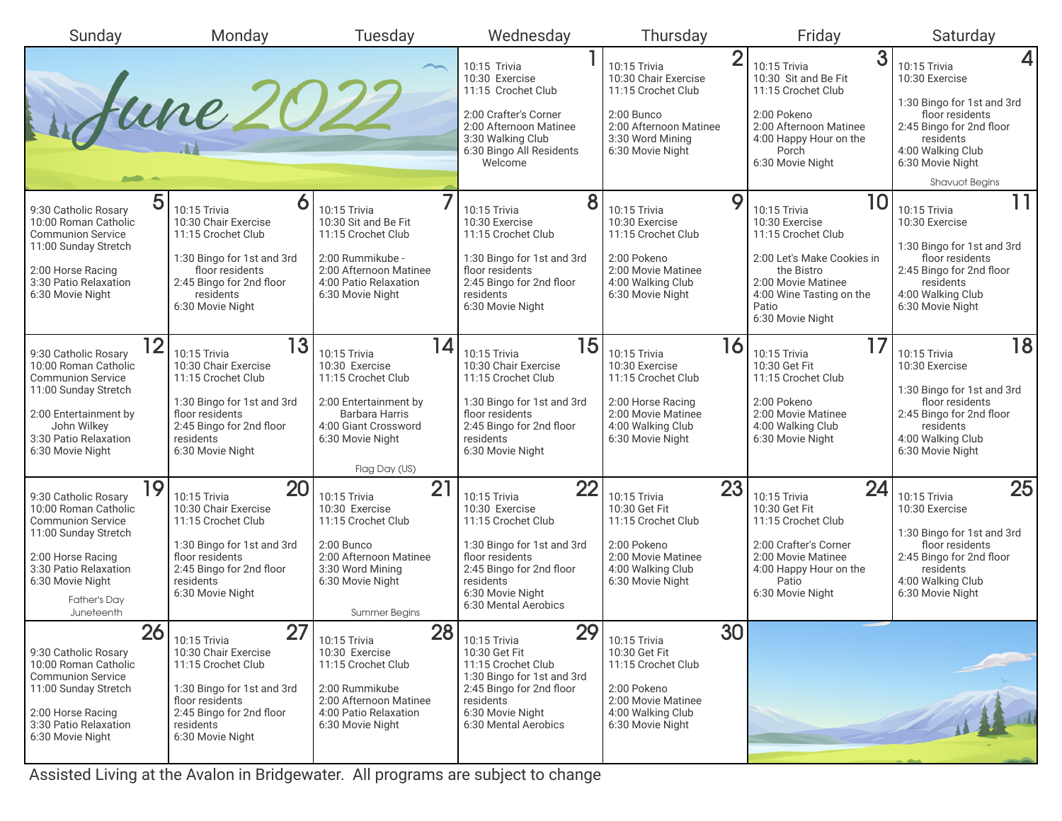| Sunday                                                                                                    | Monday                                                                                                     | Tuesday                                                                                                | Wednesday                                                                                                                          | Thursday                                                                         | Friday                                                                                                                  | Saturday                                                                                                                        |
|-----------------------------------------------------------------------------------------------------------|------------------------------------------------------------------------------------------------------------|--------------------------------------------------------------------------------------------------------|------------------------------------------------------------------------------------------------------------------------------------|----------------------------------------------------------------------------------|-------------------------------------------------------------------------------------------------------------------------|---------------------------------------------------------------------------------------------------------------------------------|
|                                                                                                           |                                                                                                            |                                                                                                        | 10:15 Trivia<br>10:30 Exercise<br>11:15 Crochet Club                                                                               | $\overline{2}$<br>10:15 Trivia<br>10:30 Chair Exercise<br>11:15 Crochet Club     | 3<br>10:15 Trivia<br>10:30 Sit and Be Fit<br>11:15 Crochet Club                                                         | $\vert$<br>10:15 Trivia<br>10:30 Exercise<br>1:30 Bingo for 1st and 3rd                                                         |
| Sune 2022                                                                                                 |                                                                                                            |                                                                                                        | 2:00 Crafter's Corner<br>2:00 Afternoon Matinee<br>3:30 Walking Club<br>6:30 Bingo All Residents<br>Welcome                        | 2:00 Bunco<br>2:00 Afternoon Matinee<br>3:30 Word Mining<br>6:30 Movie Night     | 2:00 Pokeno<br>2:00 Afternoon Matinee<br>4:00 Happy Hour on the<br>Porch<br>6:30 Movie Night                            | floor residents<br>2:45 Bingo for 2nd floor<br>residents<br>4:00 Walking Club<br>6:30 Movie Night                               |
|                                                                                                           |                                                                                                            |                                                                                                        |                                                                                                                                    |                                                                                  |                                                                                                                         | <b>Shavuot Begins</b>                                                                                                           |
| 5<br>9:30 Catholic Rosary<br>10:00 Roman Catholic<br><b>Communion Service</b><br>11:00 Sunday Stretch     | O<br>10:15 Trivia<br>10:30 Chair Exercise<br>11:15 Crochet Club                                            | 10:15 Trivia<br>10:30 Sit and Be Fit<br>11:15 Crochet Club                                             | 8<br>10:15 Trivia<br>10:30 Exercise<br>11:15 Crochet Club                                                                          | 9<br>10:15 Trivia<br>10:30 Exercise<br>11:15 Crochet Club                        | 10<br>10:15 Trivia<br>10:30 Exercise<br>11:15 Crochet Club                                                              | 11<br>10:15 Trivia<br>10:30 Exercise<br>1:30 Bingo for 1st and 3rd                                                              |
| 2:00 Horse Racing<br>3:30 Patio Relaxation<br>6:30 Movie Night                                            | 1:30 Bingo for 1st and 3rd<br>floor residents<br>2:45 Bingo for 2nd floor<br>residents<br>6:30 Movie Night | 2:00 Rummikube -<br>2:00 Afternoon Matinee<br>4:00 Patio Relaxation<br>6:30 Movie Night                | 1:30 Bingo for 1st and 3rd<br>floor residents<br>2:45 Bingo for 2nd floor<br>residents<br>6:30 Movie Night                         | 2:00 Pokeno<br>2:00 Movie Matinee<br>4:00 Walking Club<br>6:30 Movie Night       | 2:00 Let's Make Cookies in<br>the Bistro<br>2:00 Movie Matinee<br>4:00 Wine Tasting on the<br>Patio<br>6:30 Movie Night | floor residents<br>2:45 Bingo for 2nd floor<br>residents<br>4:00 Walking Club<br>6:30 Movie Night                               |
| 12                                                                                                        | 13                                                                                                         | 14                                                                                                     | 15                                                                                                                                 | 16                                                                               | 17                                                                                                                      | 18                                                                                                                              |
| 9:30 Catholic Rosarv<br>10:00 Roman Catholic<br><b>Communion Service</b>                                  | 10:15 Trivia<br>10:30 Chair Exercise<br>11:15 Crochet Club                                                 | 10:15 Trivia<br>10:30 Exercise<br>11:15 Crochet Club                                                   | 10:15 Trivia<br>10:30 Chair Exercise<br>11:15 Crochet Club                                                                         | 10:15 Trivia<br>10:30 Exercise<br>11:15 Crochet Club                             | 10:15 Trivia<br>10:30 Get Fit<br>11:15 Crochet Club                                                                     | 10:15 Trivia<br>10:30 Exercise                                                                                                  |
| 11:00 Sunday Stretch<br>2:00 Entertainment by<br>John Wilkey<br>3:30 Patio Relaxation<br>6:30 Movie Night | 1:30 Bingo for 1st and 3rd<br>floor residents<br>2:45 Bingo for 2nd floor<br>residents<br>6:30 Movie Night | 2:00 Entertainment by<br><b>Barbara Harris</b><br>4:00 Giant Crossword<br>6:30 Movie Night             | 1:30 Bingo for 1st and 3rd<br>floor residents<br>2:45 Bingo for 2nd floor<br>residents<br>6:30 Movie Night                         | 2:00 Horse Racing<br>2:00 Movie Matinee<br>4:00 Walking Club<br>6:30 Movie Night | 2:00 Pokeno<br>2:00 Movie Matinee<br>4:00 Walking Club<br>6:30 Movie Night                                              | 1:30 Bingo for 1st and 3rd<br>floor residents<br>2:45 Bingo for 2nd floor<br>residents<br>4:00 Walking Club<br>6:30 Movie Night |
|                                                                                                           |                                                                                                            | Flag Day (US)                                                                                          |                                                                                                                                    |                                                                                  |                                                                                                                         |                                                                                                                                 |
| 19<br>9:30 Catholic Rosary<br>10:00 Roman Catholic<br><b>Communion Service</b><br>11:00 Sunday Stretch    | 20<br>10:15 Trivia<br>10:30 Chair Exercise<br>11:15 Crochet Club                                           | 21<br>10:15 Trivia<br>10:30 Exercise<br>11:15 Crochet Club                                             | 22<br>10:15 Trivia<br>10:30 Exercise<br>11:15 Crochet Club                                                                         | 23<br>10:15 Trivia<br>10:30 Get Fit<br>11:15 Crochet Club                        | 24<br>10:15 Trivia<br>10:30 Get Fit<br>11:15 Crochet Club                                                               | 25<br>10:15 Trivia<br>10:30 Exercise<br>1:30 Bingo for 1st and 3rd                                                              |
| 2:00 Horse Racing<br>3:30 Patio Relaxation<br>6:30 Movie Night<br>Father's Day<br>Juneteenth              | 1:30 Bingo for 1st and 3rd<br>floor residents<br>2:45 Bingo for 2nd floor<br>residents<br>6:30 Movie Night | $2:00$ Bunco<br>2:00 Afternoon Matinee<br>3:30 Word Mining<br>6:30 Movie Night<br><b>Summer Begins</b> | 1:30 Bingo for 1st and 3rd<br>floor residents<br>2:45 Bingo for 2nd floor<br>residents<br>6:30 Movie Night<br>6:30 Mental Aerobics | 2:00 Pokeno<br>2:00 Movie Matinee<br>4:00 Walking Club<br>6:30 Movie Night       | 2:00 Crafter's Corner<br>2:00 Movie Matinee<br>4:00 Happy Hour on the<br>Patio<br>6:30 Movie Night                      | floor residents<br>2:45 Bingo for 2nd floor<br>residents<br>4:00 Walking Club<br>6:30 Movie Night                               |
| 26                                                                                                        | $\overline{27}$<br>10:15 Trivia                                                                            | 28<br>10:15 Trivia                                                                                     | 29<br>10:15 Trivia                                                                                                                 | 30<br>10:15 Trivia                                                               |                                                                                                                         |                                                                                                                                 |
| 9:30 Catholic Rosary<br>10:00 Roman Catholic<br><b>Communion Service</b>                                  | 10:30 Chair Exercise<br>11:15 Crochet Club                                                                 | 10:30 Exercise<br>11:15 Crochet Club                                                                   | 10:30 Get Fit<br>11:15 Crochet Club<br>1:30 Bingo for 1st and 3rd                                                                  | 10:30 Get Fit<br>11:15 Crochet Club                                              |                                                                                                                         |                                                                                                                                 |
| 11:00 Sunday Stretch<br>2:00 Horse Racing<br>3:30 Patio Relaxation<br>6:30 Movie Night                    | 1:30 Bingo for 1st and 3rd<br>floor residents<br>2:45 Bingo for 2nd floor<br>residents<br>6:30 Movie Night | 2:00 Rummikube<br>2:00 Afternoon Matinee<br>4:00 Patio Relaxation<br>6:30 Movie Night                  | 2:45 Bingo for 2nd floor<br>residents<br>6:30 Movie Night<br>6:30 Mental Aerobics                                                  | 2:00 Pokeno<br>2:00 Movie Matinee<br>4:00 Walking Club<br>6:30 Movie Night       |                                                                                                                         |                                                                                                                                 |
|                                                                                                           |                                                                                                            |                                                                                                        |                                                                                                                                    |                                                                                  |                                                                                                                         |                                                                                                                                 |

Assisted Living at the Avalon in Bridgewater. All programs are subject to change